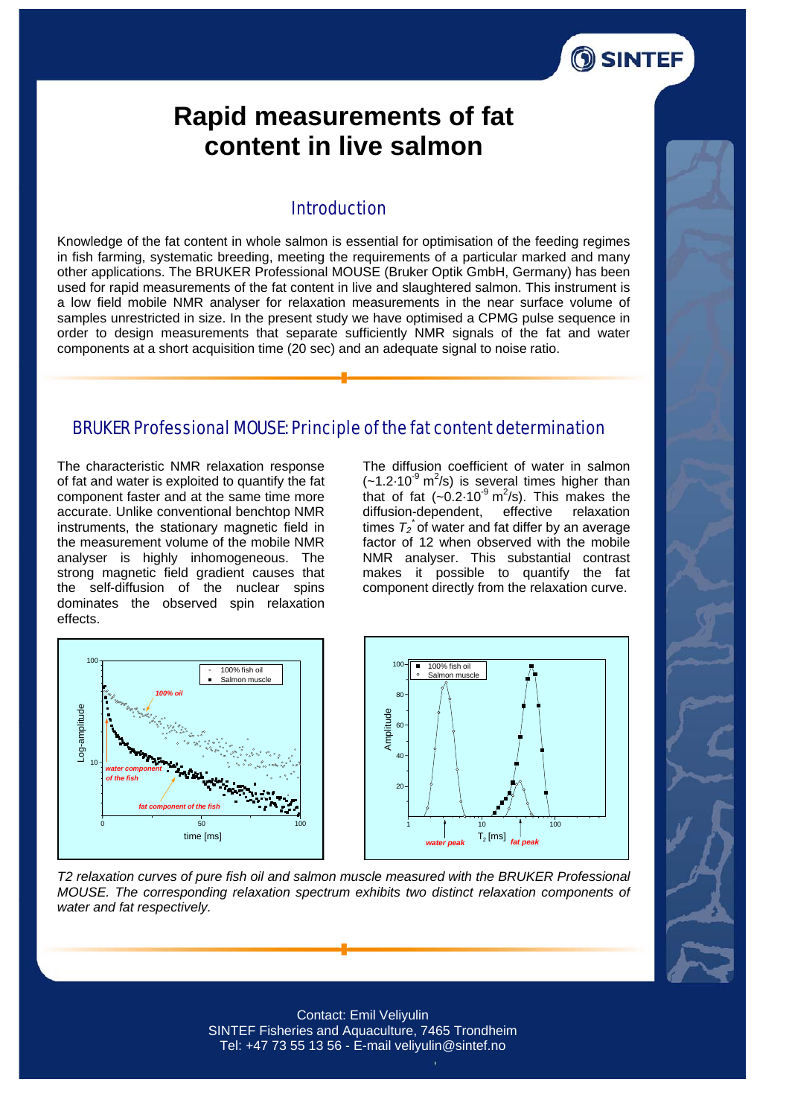

# **Rapid measurements of fat content in live salmon**

### **Introduction**

Knowledge of the fat content in whole salmon is essential for optimisation of the feeding regimes in fish farming, systematic breeding, meeting the requirements of a particular marked and many other applications. The BRUKER Professional MOUSE (Bruker Optik GmbH, Germany) has been used for rapid measurements of the fat content in live and slaughtered salmon. This instrument is a low field mobile NMR analyser for relaxation measurements in the near surface volume of samples unrestricted in size. In the present study we have optimised a CPMG pulse sequence in order to design measurements that separate sufficiently NMR signals of the fat and water components at a short acquisition time (20 sec) and an adequate signal to noise ratio.

#### BRUKER Professional MOUSE: Principle of the fat content determination

The characteristic NMR relaxation response of fat and water is exploited to quantify the fat component faster and at the same time more accurate. Unlike conventional benchtop NMR instruments, the stationary magnetic field in the measurement volume of the mobile NMR analyser is highly inhomogeneous. The strong magnetic field gradient causes that the self-diffusion of the nuclear spins dominates the observed spin relaxation effects.

The diffusion coefficient of water in salmon  $(-1.2.10^{9} \text{ m}^2/\text{s})$  is several times higher than that of fat  $(-0.2.10^9 \text{ m}^2/\text{s})$ . This makes the diffusion-dependent, effective relaxation times  $T_2$ <sup>\*</sup> of water and fat differ by an average factor of 12 when observed with the mobile NMR analyser. This substantial contrast makes it possible to quantify the fat component directly from the relaxation curve.





*T2 relaxation curves of pure fish oil and salmon muscle measured with the BRUKER Professional MOUSE. The corresponding relaxation spectrum exhibits two distinct relaxation components of water and fat respectively.* 



Contact: Emil Veliyulin SINTEF Fisheries and Aquaculture, 7465 Trondheim Tel: +47 73 55 13 56 - E-mail veliyulin@sintef.no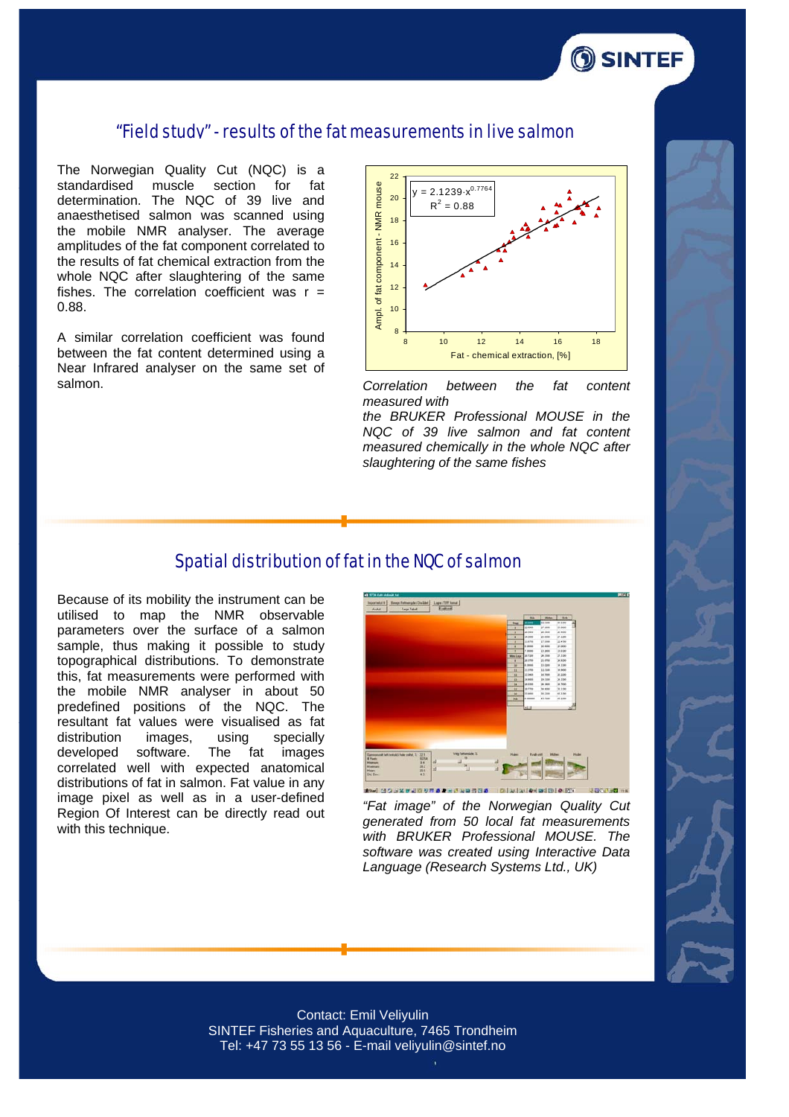

The Norwegian Quality Cut (NQC) is a standardised muscle section for fat determination. The NQC of 39 live and anaesthetised salmon was scanned using the mobile NMR analyser. The average amplitudes of the fat component correlated to the results of fat chemical extraction from the whole NQC after slaughtering of the same fishes. The correlation coefficient was  $r =$ 0.88.

A similar correlation coefficient was found between the fat content determined using a Near Infrared analyser on the same set of salmon.



*Correlation between the fat content measured with* 

*the BRUKER Professional MOUSE in the NQC of 39 live salmon and fat content measured chemically in the whole NQC after slaughtering of the same fishes* 

#### Spatial distribution of fat in the NQC of salmon

Because of its mobility the instrument can be utilised to map the NMR observable parameters over the surface of a salmon sample, thus making it possible to study topographical distributions. To demonstrate this, fat measurements were performed with the mobile NMR analyser in about 50 predefined positions of the NQC. The resultant fat values were visualised as fat distribution images, using specially developed software. The fat images correlated well with expected anatomical distributions of fat in salmon. Fat value in any image pixel as well as in a user-defined Region Of Interest can be directly read out with this technique.

![](_page_1_Figure_8.jpeg)

*"Fat image" of the Norwegian Quality Cut generated from 50 local fat measurements with BRUKER Professional MOUSE. The software was created using Interactive Data Language (Research Systems Ltd., UK)* 

![](_page_1_Picture_10.jpeg)

**OSINTEF** 

Contact: Emil Veliyulin SINTEF Fisheries and Aquaculture, 7465 Trondheim Tel: +47 73 55 13 56 - E-mail veliyulin@sintef.no